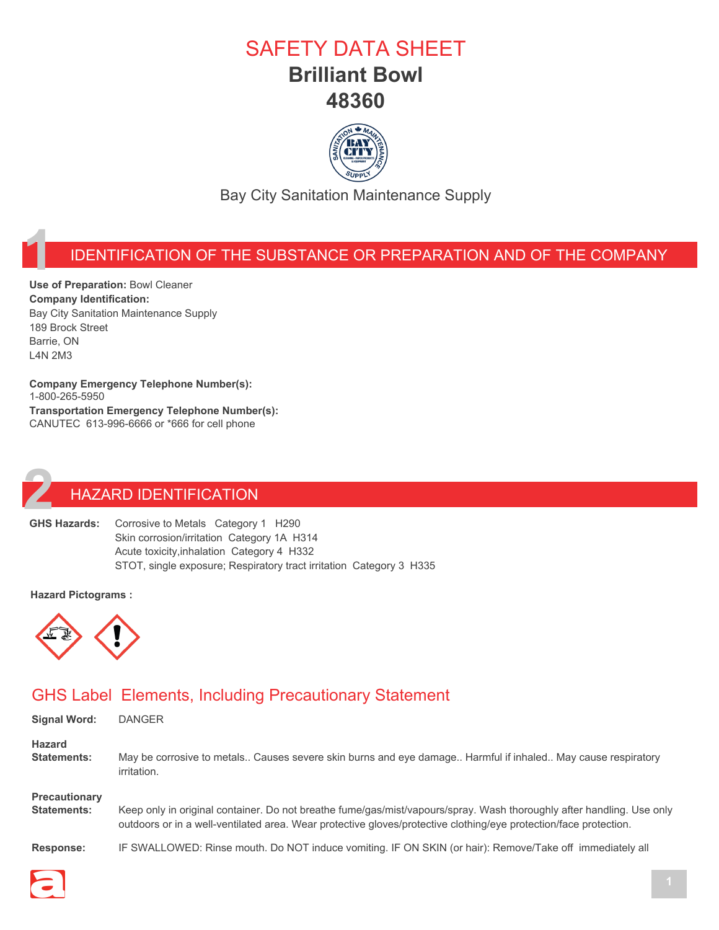### SAFETY DATA SHEET **Brilliant Bowl 48360**



Bay City Sanitation Maintenance Supply

#### **1** IDENTIFICATION OF THE SUBSTANCE OR PREPARATION AND OF THE COMPANY

**Use of Preparation:** Bowl Cleaner **Company Identification:** Bay City Sanitation Maintenance Supply 189 Brock Street Barrie, ON L4N 2M3

**Company Emergency Telephone Number(s):** 1-800-265-5950 **Transportation Emergency Telephone Number(s):** CANUTEC 613-996-6666 or \*666 for cell phone

# **2** HAZARD IDENTIFICATION<br>**22 GHS Hazards:** Corrosive to Metals Category

Corrosive to Metals Category 1 H290 Skin corrosion/irritation Category 1A H314 Acute toxicity,inhalation Category 4 H332 STOT, single exposure; Respiratory tract irritation Category 3 H335

#### **Hazard Pictograms :**



#### GHS Label Elements, Including Precautionary Statement

| <b>Signal Word:</b>  | <b>DANGER</b>                                                                                                         |
|----------------------|-----------------------------------------------------------------------------------------------------------------------|
| <b>Hazard</b>        | May be corrosive to metals Causes severe skin burns and eye damage Harmful if inhaled May cause respiratory           |
| <b>Statements:</b>   | irritation.                                                                                                           |
| <b>Precautionary</b> | Keep only in original container. Do not breathe fume/gas/mist/vapours/spray. Wash thoroughly after handling. Use only |
| Statements:          | outdoors or in a well-ventilated area. Wear protective gloves/protective clothing/eye protection/face protection.     |
| <b>Response:</b>     | IF SWALLOWED: Rinse mouth. Do NOT induce vomiting. IF ON SKIN (or hair): Remove/Take off immediately all              |

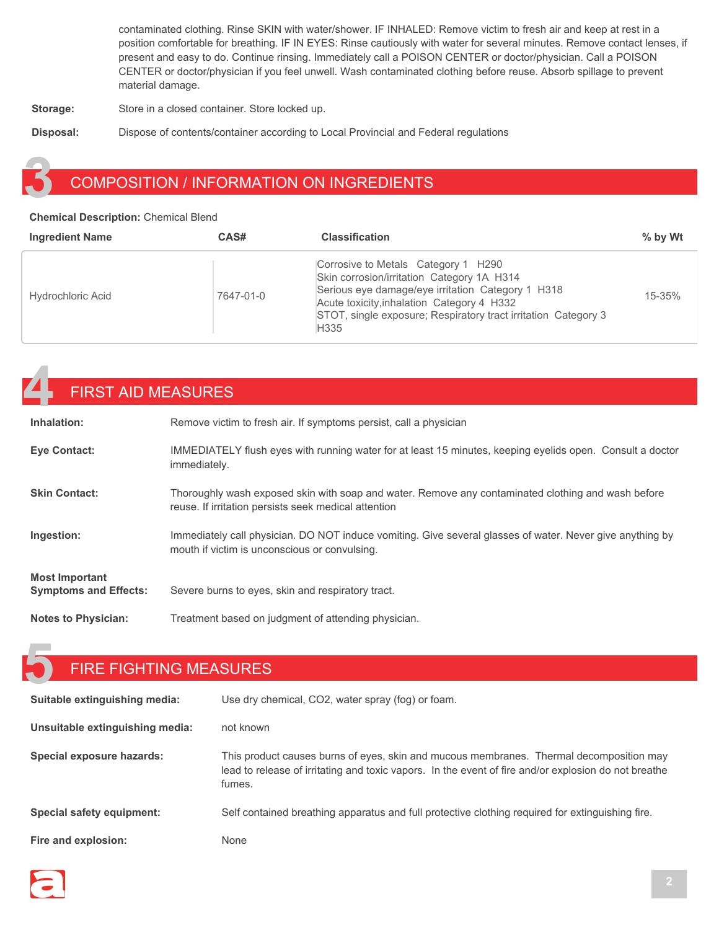contaminated clothing. Rinse SKIN with water/shower. IF INHALED: Remove victim to fresh air and keep at rest in a position comfortable for breathing. IF IN EYES: Rinse cautiously with water for several minutes. Remove contact lenses, if present and easy to do. Continue rinsing. Immediately call a POISON CENTER or doctor/physician. Call a POISON CENTER or doctor/physician if you feel unwell. Wash contaminated clothing before reuse. Absorb spillage to prevent material damage.

**Storage:** Store in a closed container. Store locked up.

**Disposal:** Dispose of contents/container according to Local Provincial and Federal regulations

#### **3** COMPOSITION / INFORMATION ON INGREDIENTS

#### **Chemical Description:** Chemical Blend

| <b>Ingredient Name</b>   | CAS#      | <b>Classification</b>                                                                                                                                                                                                                                                      | $%$ by Wt  |
|--------------------------|-----------|----------------------------------------------------------------------------------------------------------------------------------------------------------------------------------------------------------------------------------------------------------------------------|------------|
| <b>Hydrochloric Acid</b> | 7647-01-0 | Corrosive to Metals Category 1 H290<br>Skin corrosion/irritation Category 1A H314<br>Serious eye damage/eye irritation Category 1 H318<br>Acute toxicity, inhalation Category 4 H332<br>STOT, single exposure; Respiratory tract irritation Category 3<br>H <sub>335</sub> | $15 - 35%$ |

### **4** FIRST AID MEASURES

| Inhalation:                                           | Remove victim to fresh air. If symptoms persist, call a physician                                                                                          |
|-------------------------------------------------------|------------------------------------------------------------------------------------------------------------------------------------------------------------|
| <b>Eye Contact:</b>                                   | IMMEDIATELY flush eyes with running water for at least 15 minutes, keeping eyelids open. Consult a doctor<br>immediately.                                  |
| <b>Skin Contact:</b>                                  | Thoroughly wash exposed skin with soap and water. Remove any contaminated clothing and wash before<br>reuse. If irritation persists seek medical attention |
| Ingestion:                                            | Immediately call physician. DO NOT induce vomiting. Give several glasses of water. Never give anything by<br>mouth if victim is unconscious or convulsing. |
| <b>Most Important</b><br><b>Symptoms and Effects:</b> | Severe burns to eyes, skin and respiratory tract.                                                                                                          |
| <b>Notes to Physician:</b>                            | Treatment based on judgment of attending physician.                                                                                                        |

#### **5** FIRE FIGHTING MEASURES

| Suitable extinguishing media:   | Use dry chemical, CO2, water spray (fog) or foam.                                                                                                                                                         |
|---------------------------------|-----------------------------------------------------------------------------------------------------------------------------------------------------------------------------------------------------------|
| Unsuitable extinguishing media: | not known                                                                                                                                                                                                 |
| Special exposure hazards:       | This product causes burns of eyes, skin and mucous membranes. Thermal decomposition may<br>lead to release of irritating and toxic vapors. In the event of fire and/or explosion do not breathe<br>fumes. |
| Special safety equipment:       | Self contained breathing apparatus and full protective clothing required for extinguishing fire.                                                                                                          |
| Fire and explosion:             | None                                                                                                                                                                                                      |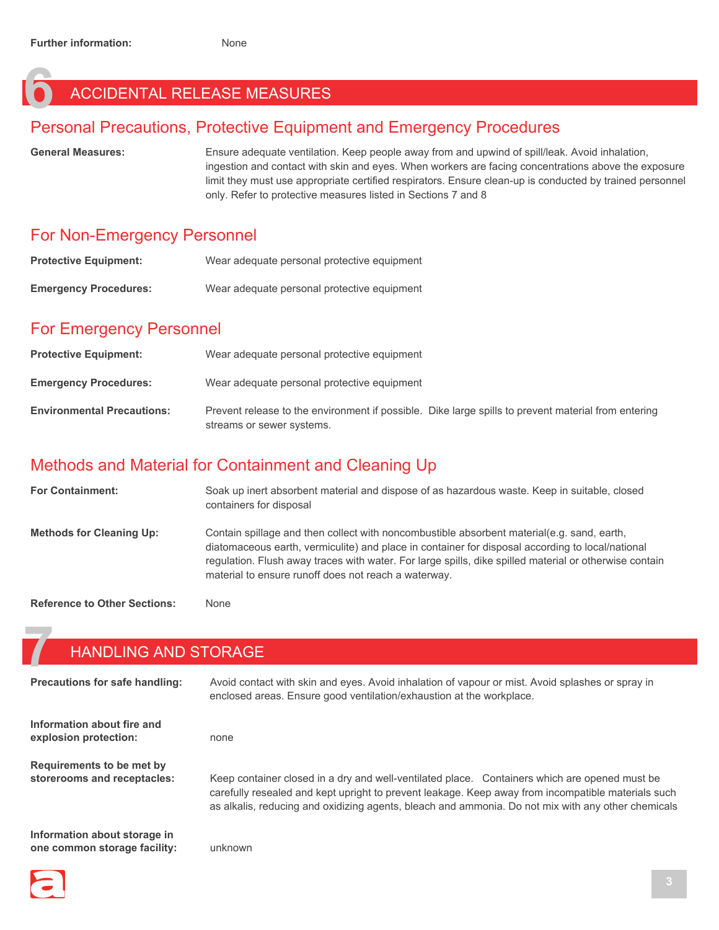### **6** ACCIDENTAL RELEASE MEASURES

#### Personal Precautions, Protective Equipment and Emergency Procedures

General Measures: **Ensure adequate ventilation. Keep people away from and upwind of spill/leak. Avoid inhalation,** ingestion and contact with skin and eyes. When workers are facing concentrations above the exposure limit they must use appropriate certified respirators. Ensure clean-up is conducted by trained personnel only. Refer to protective measures listed in Sections 7 and 8

#### For Non-Emergency Personnel

| <b>Protective Equipment:</b> | Wear adequate personal protective equipment |
|------------------------------|---------------------------------------------|
| <b>Emergency Procedures:</b> | Wear adequate personal protective equipment |

### For Emergency Personnel

| <b>Protective Equipment:</b>      | Wear adequate personal protective equipment                                                                                      |
|-----------------------------------|----------------------------------------------------------------------------------------------------------------------------------|
| <b>Emergency Procedures:</b>      | Wear adequate personal protective equipment                                                                                      |
| <b>Environmental Precautions:</b> | Prevent release to the environment if possible. Dike large spills to prevent material from entering<br>streams or sewer systems. |

#### Methods and Material for Containment and Cleaning Up

| <b>For Containment:</b>         | Soak up inert absorbent material and dispose of as hazardous waste. Keep in suitable, closed<br>containers for disposal                                                                                                                                                                                                                                          |
|---------------------------------|------------------------------------------------------------------------------------------------------------------------------------------------------------------------------------------------------------------------------------------------------------------------------------------------------------------------------------------------------------------|
| <b>Methods for Cleaning Up:</b> | Contain spillage and then collect with noncombustible absorbent material(e.g. sand, earth,<br>diatomaceous earth, vermiculite) and place in container for disposal according to local/national<br>requiation. Flush away traces with water. For large spills, dike spilled material or otherwise contain<br>material to ensure runoff does not reach a waterway. |
|                                 |                                                                                                                                                                                                                                                                                                                                                                  |

**Reference to Other Sections:** None

#### **7** HANDLING AND STORAGE

| <b>Precautions for safe handling:</b>                        | Avoid contact with skin and eyes. Avoid inhalation of vapour or mist. Avoid splashes or spray in<br>enclosed areas. Ensure good ventilation/exhaustion at the workplace.                                                                                                                                  |
|--------------------------------------------------------------|-----------------------------------------------------------------------------------------------------------------------------------------------------------------------------------------------------------------------------------------------------------------------------------------------------------|
| Information about fire and<br>explosion protection:          | none                                                                                                                                                                                                                                                                                                      |
| Requirements to be met by<br>storerooms and receptacles:     | Keep container closed in a dry and well-ventilated place. Containers which are opened must be<br>carefully resealed and kept upright to prevent leakage. Keep away from incompatible materials such<br>as alkalis, reducing and oxidizing agents, bleach and ammonia. Do not mix with any other chemicals |
| Information about storage in<br>one common storage facility: | unknown                                                                                                                                                                                                                                                                                                   |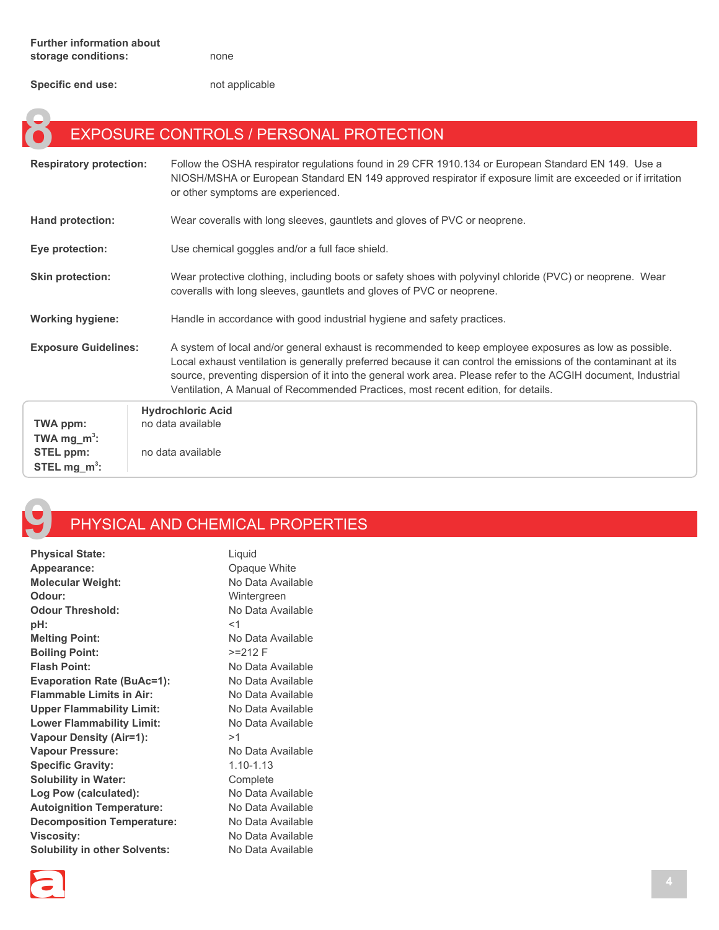**Specific end use:** not applicable

### **EXPOSURE CONTROLS / PERSONAL PROTECTION**

| <b>Respiratory protection:</b>      | Follow the OSHA respirator regulations found in 29 CFR 1910.134 or European Standard EN 149. Use a<br>NIOSH/MSHA or European Standard EN 149 approved respirator if exposure limit are exceeded or if irritation<br>or other symptoms are experienced.                                                                                                                                                                           |
|-------------------------------------|----------------------------------------------------------------------------------------------------------------------------------------------------------------------------------------------------------------------------------------------------------------------------------------------------------------------------------------------------------------------------------------------------------------------------------|
| <b>Hand protection:</b>             | Wear coveralls with long sleeves, gauntlets and gloves of PVC or neoprene.                                                                                                                                                                                                                                                                                                                                                       |
| Eye protection:                     | Use chemical goggles and/or a full face shield.                                                                                                                                                                                                                                                                                                                                                                                  |
| <b>Skin protection:</b>             | Wear protective clothing, including boots or safety shoes with polyvinyl chloride (PVC) or neoprene. Wear<br>coveralls with long sleeves, gauntlets and gloves of PVC or neoprene.                                                                                                                                                                                                                                               |
| <b>Working hygiene:</b>             | Handle in accordance with good industrial hygiene and safety practices.                                                                                                                                                                                                                                                                                                                                                          |
| <b>Exposure Guidelines:</b>         | A system of local and/or general exhaust is recommended to keep employee exposures as low as possible.<br>Local exhaust ventilation is generally preferred because it can control the emissions of the contaminant at its<br>source, preventing dispersion of it into the general work area. Please refer to the ACGIH document, Industrial<br>Ventilation, A Manual of Recommended Practices, most recent edition, for details. |
| TWA ppm:<br>TWA mg_m <sup>3</sup> : | <b>Hydrochloric Acid</b><br>no data available                                                                                                                                                                                                                                                                                                                                                                                    |



**STEL mg\_m3 :**

#### **9** PHYSICAL AND CHEMICAL PROPERTIES

| <b>Physical State:</b>               | Liquid            |
|--------------------------------------|-------------------|
| Appearance:                          | Opaque White      |
| <b>Molecular Weight:</b>             | No Data Available |
| Odour:                               | Wintergreen       |
| <b>Odour Threshold:</b>              | No Data Available |
| pH:                                  | $<$ 1             |
| <b>Melting Point:</b>                | No Data Available |
| <b>Boiling Point:</b>                | $>=212 F$         |
| <b>Flash Point:</b>                  | No Data Available |
| <b>Evaporation Rate (BuAc=1):</b>    | No Data Available |
| <b>Flammable Limits in Air:</b>      | No Data Available |
| <b>Upper Flammability Limit:</b>     | No Data Available |
| <b>Lower Flammability Limit:</b>     | No Data Available |
| <b>Vapour Density (Air=1):</b>       | >1                |
| <b>Vapour Pressure:</b>              | No Data Available |
| <b>Specific Gravity:</b>             | $1.10 - 1.13$     |
| <b>Solubility in Water:</b>          | Complete          |
| Log Pow (calculated):                | No Data Available |
| <b>Autoignition Temperature:</b>     | No Data Available |
| <b>Decomposition Temperature:</b>    | No Data Available |
| <b>Viscosity:</b>                    | No Data Available |
| <b>Solubility in other Solvents:</b> | No Data Available |
|                                      |                   |

**STEL ppm:** no data available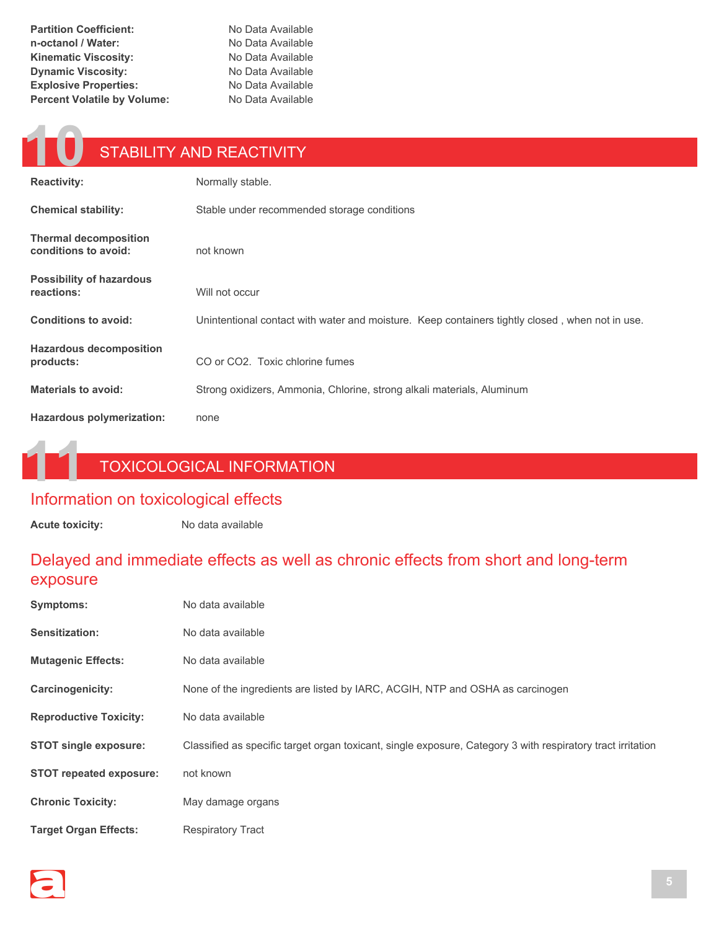**Partition Coefficient:** No Data Available **n-octanol / Water:** No Data Available **Kinematic Viscosity:** No Data Available **Dynamic Viscosity:** No Data Available **Explosive Properties:** No Data Available **Percent Volatile by Volume:** No Data Available

### **10** STABILITY AND REACTIVITY

| <b>Reactivity:</b>                                   | Normally stable.                                                                                |
|------------------------------------------------------|-------------------------------------------------------------------------------------------------|
| <b>Chemical stability:</b>                           | Stable under recommended storage conditions                                                     |
| <b>Thermal decomposition</b><br>conditions to avoid: | not known                                                                                       |
| <b>Possibility of hazardous</b><br>reactions:        | Will not occur                                                                                  |
| <b>Conditions to avoid:</b>                          | Unintentional contact with water and moisture. Keep containers tightly closed, when not in use. |
| <b>Hazardous decomposition</b><br>products:          | CO or CO2. Toxic chlorine fumes                                                                 |
| <b>Materials to avoid:</b>                           | Strong oxidizers, Ammonia, Chlorine, strong alkali materials, Aluminum                          |
| Hazardous polymerization:                            | none                                                                                            |

#### **11** TOXICOLOGICAL INFORMATION

#### Information on toxicological effects

Acute toxicity: No data available

#### Delayed and immediate effects as well as chronic effects from short and long-term exposure

| <b>Symptoms:</b>               | No data available                                                                                           |
|--------------------------------|-------------------------------------------------------------------------------------------------------------|
| <b>Sensitization:</b>          | No data available                                                                                           |
| <b>Mutagenic Effects:</b>      | No data available                                                                                           |
| Carcinogenicity:               | None of the ingredients are listed by IARC, ACGIH, NTP and OSHA as carcinogen                               |
| <b>Reproductive Toxicity:</b>  | No data available                                                                                           |
| <b>STOT single exposure:</b>   | Classified as specific target organ toxicant, single exposure, Category 3 with respiratory tract irritation |
| <b>STOT repeated exposure:</b> | not known                                                                                                   |
| <b>Chronic Toxicity:</b>       | May damage organs                                                                                           |
| <b>Target Organ Effects:</b>   | <b>Respiratory Tract</b>                                                                                    |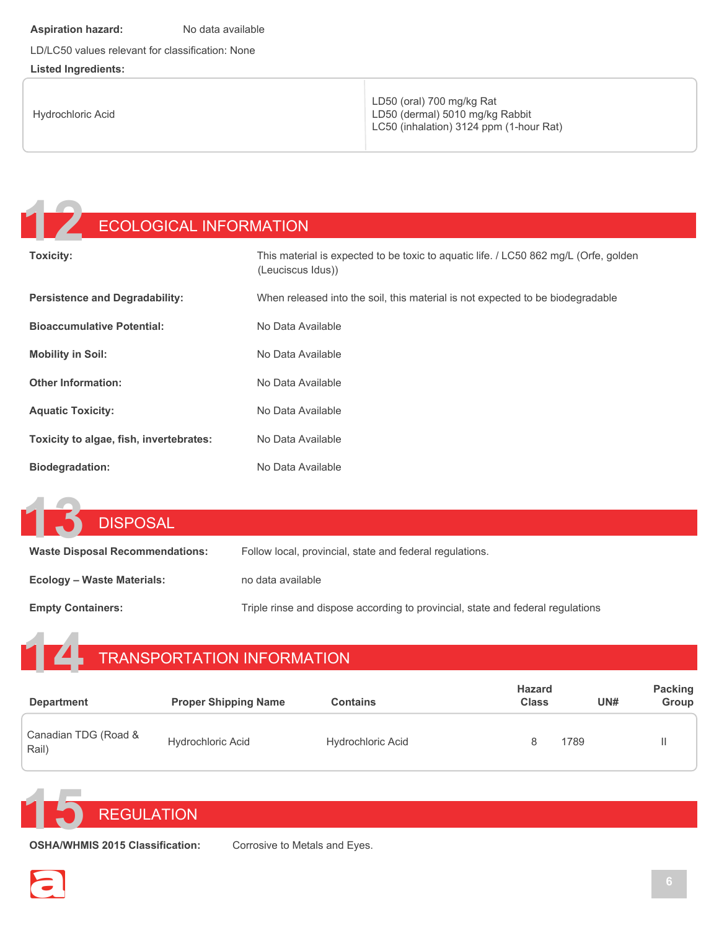#### **Aspiration hazard:** No data available

LD/LC50 values relevant for classification: None

#### **Listed Ingredients:**

| Hydrochloric Acid | LD50 (oral) 700 mg/kg Rat<br>LD50 (dermal) 5010 mg/kg Rabbit<br>LC50 (inhalation) 3124 ppm (1-hour Rat) |
|-------------------|---------------------------------------------------------------------------------------------------------|
|-------------------|---------------------------------------------------------------------------------------------------------|

## **12** ECOLOGICAL INFORMATION

| <b>Toxicity:</b>                        | This material is expected to be toxic to aquatic life. / LC50 862 mg/L (Orfe, golden<br>(Leuciscus Idus)) |
|-----------------------------------------|-----------------------------------------------------------------------------------------------------------|
| <b>Persistence and Degradability:</b>   | When released into the soil, this material is not expected to be biodegradable                            |
| <b>Bioaccumulative Potential:</b>       | No Data Available                                                                                         |
| <b>Mobility in Soil:</b>                | No Data Available                                                                                         |
| <b>Other Information:</b>               | No Data Available                                                                                         |
| <b>Aquatic Toxicity:</b>                | No Data Available                                                                                         |
| Toxicity to algae, fish, invertebrates: | No Data Available                                                                                         |
| <b>Biodegradation:</b>                  | No Data Available                                                                                         |

| 15<br>DISPOSAL                         |                                                                                 |
|----------------------------------------|---------------------------------------------------------------------------------|
| <b>Waste Disposal Recommendations:</b> | Follow local, provincial, state and federal regulations.                        |
| Ecology – Waste Materials:             | no data available                                                               |
| <b>Empty Containers:</b>               | Triple rinse and dispose according to provincial, state and federal regulations |

## **14** TRANSPORTATION INFORMATION

| <b>Department</b>             | <b>Proper Shipping Name</b> | Contains                 | <b>Hazard</b><br><b>Class</b> | UN#  | <b>Packing</b><br>Group |
|-------------------------------|-----------------------------|--------------------------|-------------------------------|------|-------------------------|
| Canadian TDG (Road &<br>Rail) | <b>Hydrochloric Acid</b>    | <b>Hydrochloric Acid</b> |                               | 1789 |                         |



**OSHA/WHMIS 2015 Classification:** Corrosive to Metals and Eyes.